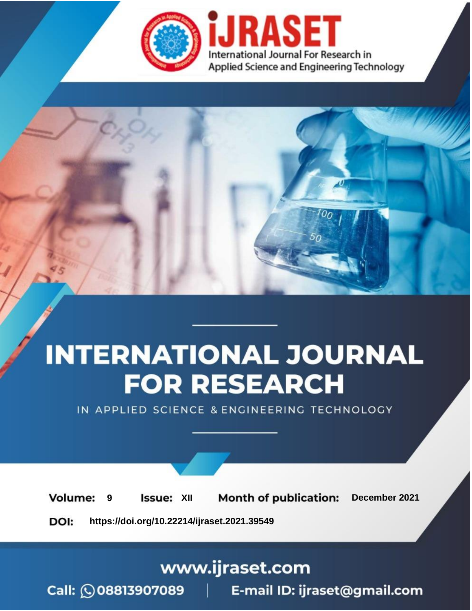

# **INTERNATIONAL JOURNAL FOR RESEARCH**

IN APPLIED SCIENCE & ENGINEERING TECHNOLOGY

**Month of publication: Volume: Issue: XII** December 2021 9 DOI: https://doi.org/10.22214/ijraset.2021.39549

www.ijraset.com

Call: 008813907089 | E-mail ID: ijraset@gmail.com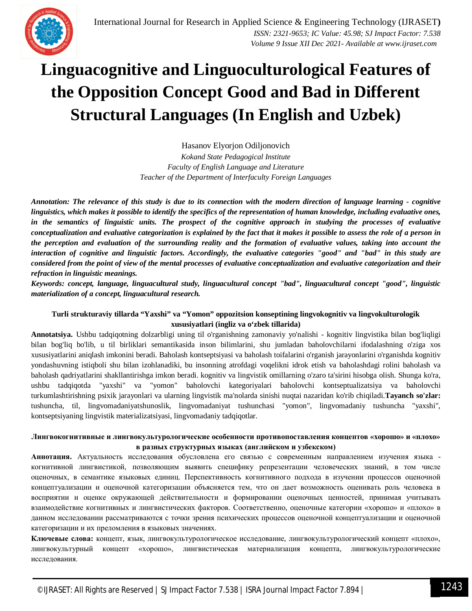

## **Linguacognitive and Linguoculturological Features of the Opposition Concept Good and Bad in Different Structural Languages (In English and Uzbek)**

Hasanov Elyorjon Odiljonovich *Kokand State Pedagogical Institute Faculty of English Language and Literature Teacher of the Department of Interfaculty Foreign Languages*

*Annotation: The relevance of this study is due to its connection with the modern direction of language learning - cognitive linguistics, which makes it possible to identify the specifics of the representation of human knowledge, including evaluative ones, in the semantics of linguistic units. The prospect of the cognitive approach in studying the processes of evaluative conceptualization and evaluative categorization is explained by the fact that it makes it possible to assess the role of a person in the perception and evaluation of the surrounding reality and the formation of evaluative values, taking into account the interaction of cognitive and linguistic factors. Accordingly, the evaluative categories "good" and "bad" in this study are considered from the point of view of the mental processes of evaluative conceptualization and evaluative categorization and their refraction in linguistic meanings.*

*Keywords: concept, language, linguacultural study, linguacultural concept "bad", linguacultural concept "good", linguistic materialization of a concept, linguacultural research.*

### **Turli strukturaviy tillarda "Yaxshi" va "Yomon" oppozitsion konseptining lingvokognitiv va lingvokulturologik xususiyatlari (ingliz va o'zbek tillarida)**

**Annotatsiya.** Ushbu tadqiqotning dolzarbligi uning til o'rganishning zamonaviy yo'nalishi - kognitiv lingvistika bilan bog'liqligi bilan bog'liq bo'lib, u til birliklari semantikasida inson bilimlarini, shu jumladan baholovchilarni ifodalashning o'ziga xos xususiyatlarini aniqlash imkonini beradi. Baholash kontseptsiyasi va baholash toifalarini o'rganish jarayonlarini o'rganishda kognitiv yondashuvning istiqboli shu bilan izohlanadiki, bu insonning atrofdagi voqelikni idrok etish va baholashdagi rolini baholash va baholash qadriyatlarini shakllantirishga imkon beradi. kognitiv va lingvistik omillarning o'zaro ta'sirini hisobga olish. Shunga ko'ra, ushbu tadqiqotda "yaxshi" va "yomon" baholovchi kategoriyalari baholovchi kontseptualizatsiya va baholovchi turkumlashtirishning psixik jarayonlari va ularning lingvistik ma'nolarda sinishi nuqtai nazaridan ko'rib chiqiladi.**Tayanch so'zlar:** tushuncha, til, lingvomadaniyatshunoslik, lingvomadaniyat tushunchasi "yomon", lingvomadaniy tushuncha "yaxshi", kontseptsiyaning lingvistik materializatsiyasi, lingvomadaniy tadqiqotlar.

### **Лингвокогнитивные и лингвокультурологические особенности противопоставления концептов «хорошо» и «плохо» в разных структурных языках (английском и узбекском)**

**Аннотация.** Актуальность исследования обусловлена его связью с современным направлением изучения языка когнитивной лингвистикой, позволяющим выявить специфику репрезентации человеческих знаний, в том числе оценочных, в семантике языковых единиц. Перспективность когнитивного подхода в изучении процессов оценочной концептуализации и оценочной категоризации объясняется тем, что он дает возможность оценивать роль человека в восприятии и оценке окружающей действительности и формировании оценочных ценностей, принимая учитывать взаимодействие когнитивных и лингвистических факторов. Соответственно, оценочные категории «хорошо» и «плохо» в данном исследовании рассматриваются с точки зрения психических процессов оценочной концептуализации и оценочной категоризации и их преломления в языковых значениях.

**Ключевые слова:** концепт, язык, лингвокультурологическое исследование, лингвокультурологический концепт «плохо», лингвокультурный концепт «хорошо», лингвистическая материализация концепта, лингвокультурологические исследования.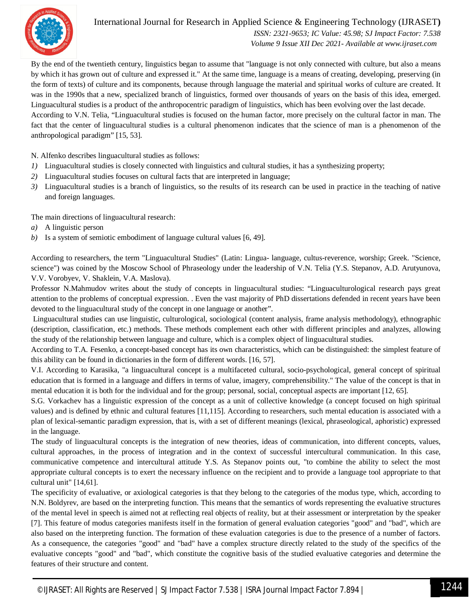

## International Journal for Research in Applied Science & Engineering Technology (IJRASET**)**  *ISSN: 2321-9653; IC Value: 45.98; SJ Impact Factor: 7.538*

 *Volume 9 Issue XII Dec 2021- Available at www.ijraset.com*

By the end of the twentieth century, linguistics began to assume that "language is not only connected with culture, but also a means by which it has grown out of culture and expressed it." At the same time, language is a means of creating, developing, preserving (in the form of texts) of culture and its components, because through language the material and spiritual works of culture are created. It was in the 1990s that a new, specialized branch of linguistics, formed over thousands of years on the basis of this idea, emerged. Linguacultural studies is a product of the anthropocentric paradigm of linguistics, which has been evolving over the last decade.

According to V.N. Telia, "Linguacultural studies is focused on the human factor, more precisely on the cultural factor in man. The fact that the center of linguacultural studies is a cultural phenomenon indicates that the science of man is a phenomenon of the anthropological paradigm" [15, 53].

N. Alfenko describes linguacultural studies as follows:

- *1)* Linguacultural studies is closely connected with linguistics and cultural studies, it has a synthesizing property;
- *2)* Linguacultural studies focuses on cultural facts that are interpreted in language;
- *3)* Linguacultural studies is a branch of linguistics, so the results of its research can be used in practice in the teaching of native and foreign languages.

The main directions of linguacultural research:

- *a)* A linguistic person
- *b)* Is a system of semiotic embodiment of language cultural values [6, 49].

According to researchers, the term "Linguacultural Studies" (Latin: Lingua- language, cultus-reverence, worship; Greek. "Science, science") was coined by the Moscow School of Phraseology under the leadership of V.N. Telia (Y.S. Stepanov, A.D. Arutyunova, V.V. Vorobyev, V. Shaklein, V.A. Maslova).

Professor N.Mahmudov writes about the study of concepts in linguacultural studies: "Linguaculturological research pays great attention to the problems of conceptual expression. . Even the vast majority of PhD dissertations defended in recent years have been devoted to the linguacultural study of the concept in one language or another".

Linguacultural studies can use linguistic, culturological, sociological (content analysis, frame analysis methodology), ethnographic (description, classification, etc.) methods. These methods complement each other with different principles and analyzes, allowing the study of the relationship between language and culture, which is a complex object of linguacultural studies.

According to T.A. Fesenko, a concept-based concept has its own characteristics, which can be distinguished: the simplest feature of this ability can be found in dictionaries in the form of different words. [16, 57].

V.I. According to Karasika, "a linguacultural concept is a multifaceted cultural, socio-psychological, general concept of spiritual education that is formed in a language and differs in terms of value, imagery, comprehensibility." The value of the concept is that in mental education it is both for the individual and for the group; personal, social, conceptual aspects are important [12, 65].

S.G. Vorkachev has a linguistic expression of the concept as a unit of collective knowledge (a concept focused on high spiritual values) and is defined by ethnic and cultural features [11,115]. According to researchers, such mental education is associated with a plan of lexical-semantic paradigm expression, that is, with a set of different meanings (lexical, phraseological, aphoristic) expressed in the language.

The study of linguacultural concepts is the integration of new theories, ideas of communication, into different concepts, values, cultural approaches, in the process of integration and in the context of successful intercultural communication. In this case, communicative competence and intercultural attitude Y.S. As Stepanov points out, "to combine the ability to select the most appropriate cultural concepts is to exert the necessary influence on the recipient and to provide a language tool appropriate to that cultural unit" [14,61].

The specificity of evaluative, or axiological categories is that they belong to the categories of the modus type, which, according to N.N. Boldyrev, are based on the interpreting function. This means that the semantics of words representing the evaluative structures of the mental level in speech is aimed not at reflecting real objects of reality, but at their assessment or interpretation by the speaker [7]. This feature of modus categories manifests itself in the formation of general evaluation categories "good" and "bad", which are also based on the interpreting function. The formation of these evaluation categories is due to the presence of a number of factors. As a consequence, the categories "good" and "bad" have a complex structure directly related to the study of the specifics of the evaluative concepts "good" and "bad", which constitute the cognitive basis of the studied evaluative categories and determine the features of their structure and content.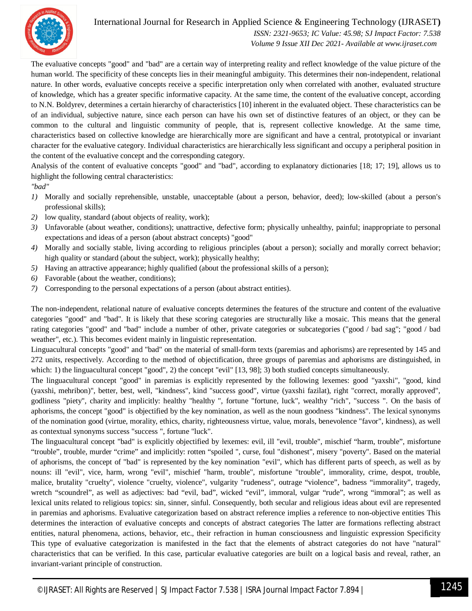

## International Journal for Research in Applied Science & Engineering Technology (IJRASET**)**

 *ISSN: 2321-9653; IC Value: 45.98; SJ Impact Factor: 7.538 Volume 9 Issue XII Dec 2021- Available at www.ijraset.com*

The evaluative concepts "good" and "bad" are a certain way of interpreting reality and reflect knowledge of the value picture of the human world. The specificity of these concepts lies in their meaningful ambiguity. This determines their non-independent, relational nature. In other words, evaluative concepts receive a specific interpretation only when correlated with another, evaluated structure of knowledge, which has a greater specific informative capacity. At the same time, the content of the evaluative concept, according to N.N. Boldyrev, determines a certain hierarchy of characteristics [10] inherent in the evaluated object. These characteristics can be of an individual, subjective nature, since each person can have his own set of distinctive features of an object, or they can be common to the cultural and linguistic community of people, that is, represent collective knowledge. At the same time, characteristics based on collective knowledge are hierarchically more are significant and have a central, prototypical or invariant character for the evaluative category. Individual characteristics are hierarchically less significant and occupy a peripheral position in the content of the evaluative concept and the corresponding category.

Analysis of the content of evaluative concepts "good" and "bad", according to explanatory dictionaries [18; 17; 19], allows us to highlight the following central characteristics:

*"bad"*

- *1)* Morally and socially reprehensible, unstable, unacceptable (about a person, behavior, deed); low-skilled (about a person's professional skills);
- *2)* low quality, standard (about objects of reality, work);
- *3)* Unfavorable (about weather, conditions); unattractive, defective form; physically unhealthy, painful; inappropriate to personal expectations and ideas of a person (about abstract concepts) "good"
- *4)* Morally and socially stable, living according to religious principles (about a person); socially and morally correct behavior; high quality or standard (about the subject, work); physically healthy;
- *5)* Having an attractive appearance; highly qualified (about the professional skills of a person);
- *6)* Favorable (about the weather, conditions);
- *7)* Corresponding to the personal expectations of a person (about abstract entities).

The non-independent, relational nature of evaluative concepts determines the features of the structure and content of the evaluative categories "good" and "bad". It is likely that these scoring categories are structurally like a mosaic. This means that the general rating categories "good" and "bad" include a number of other, private categories or subcategories ("good / bad sag"; "good / bad weather", etc.). This becomes evident mainly in linguistic representation.

Linguacultural concepts "good" and "bad" on the material of small-form texts (paremias and aphorisms) are represented by 145 and 272 units, respectively. According to the method of objectification, three groups of paremias and aphorisms are distinguished, in which: 1) the linguacultural concept "good", 2) the concept "evil" [13, 98]; 3) both studied concepts simultaneously.

The linguacultural concept "good" in paremias is explicitly represented by the following lexemes: good "yaxshi", "good, kind (yaxshi, mehribon)", better, best, well, "kindness", kind "success good", virtue (yaxshi fazilat), right "correct, morally approved", godliness "piety", charity and implicitly: healthy "healthy ", fortune "fortune, luck", wealthy "rich", "success ". On the basis of aphorisms, the concept "good" is objectified by the key nomination, as well as the noun goodness "kindness". The lexical synonyms of the nomination good (virtue, morality, ethics, charity, righteousness virtue, value, morals, benevolence "favor", kindness), as well as contextual synonyms success "success ", fortune "luck".

The linguacultural concept "bad" is explicitly objectified by lexemes: evil, ill "evil, trouble", mischief "harm, trouble", misfortune "trouble", trouble, murder "crime" and implicitly: rotten "spoiled ", curse, foul "dishonest", misery "poverty". Based on the material of aphorisms, the concept of "bad" is represented by the key nomination "evil", which has different parts of speech, as well as by nouns: ill "evil", vice, harm, wrong "evil", mischief "harm, trouble", misfortune "trouble", immorality, crime, despot, trouble, malice, brutality "cruelty", violence "cruelty, violence", vulgarity "rudeness", outrage "violence", badness "immorality", tragedy, wretch "scoundrel", as well as adjectives: bad "evil, bad", wicked "evil", immoral, vulgar "rude", wrong "immoral"; as well as lexical units related to religious topics: sin, sinner, sinful. Consequently, both secular and religious ideas about evil are represented in paremias and aphorisms. Evaluative categorization based on abstract reference implies a reference to non-objective entities This determines the interaction of evaluative concepts and concepts of abstract categories The latter are formations reflecting abstract entities, natural phenomena, actions, behavior, etc., their refraction in human consciousness and linguistic expression Specificity This type of evaluative categorization is manifested in the fact that the elements of abstract categories do not have "natural" characteristics that can be verified. In this case, particular evaluative categories are built on a logical basis and reveal, rather, an invariant-variant principle of construction.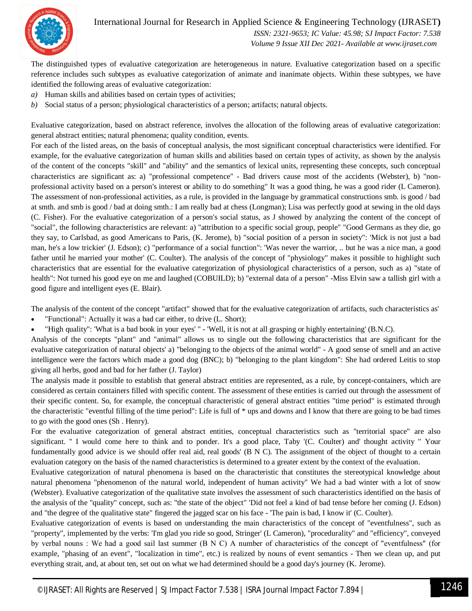

International Journal for Research in Applied Science & Engineering Technology (IJRASET**)**  *ISSN: 2321-9653; IC Value: 45.98; SJ Impact Factor: 7.538*

 *Volume 9 Issue XII Dec 2021- Available at www.ijraset.com*

The distinguished types of evaluative categorization are heterogeneous in nature. Evaluative categorization based on a specific reference includes such subtypes as evaluative categorization of animate and inanimate objects. Within these subtypes, we have identified the following areas of evaluative categorization:

- *a)* Human skills and abilities based on certain types of activities;
- *b)* Social status of a person; physiological characteristics of a person; artifacts; natural objects.

Evaluative categorization, based on abstract reference, involves the allocation of the following areas of evaluative categorization: general abstract entities; natural phenomena; quality condition, events.

For each of the listed areas, on the basis of conceptual analysis, the most significant conceptual characteristics were identified. For example, for the evaluative categorization of human skills and abilities based on certain types of activity, as shown by the analysis of the content of the concepts "skill" and "ability" and the semantics of lexical units, representing these concepts, such conceptual characteristics are significant as: a) "professional competence" - Bad drivers cause most of the accidents (Webster), b) "nonprofessional activity based on a person's interest or ability to do something" It was a good thing, he was a good rider (L Cameron). The assessment of non-professional activities, as a rule, is provided in the language by grammatical constructions smb. is good / bad at smth. and smb is good / bad at doing smth.: I am really bad at chess (Longman); Lisa was perfectly good at sewing in the old days (C. Fisher). For the evaluative categorization of a person's social status, as J showed by analyzing the content of the concept of "social", the following characteristics are relevant: a) "attribution to a specific social group, people" "Good Germans as they die, go they say, to Carlsbad, as good Americans to Paris, (K. Jerome), b) "social position of a person in society": 'Mick is not just a bad man, he's a low trickier' (J. Edson); c) "performance of a social function": 'Was never the warrior, .. but he was a nice man, a good father until he married your mother' (C. Coulter). The analysis of the concept of "physiology" makes it possible to highlight such characteristics that are essential for the evaluative categorization of physiological characteristics of a person, such as a) "state of health": Not turned his good eye on me and laughed (COBUILD); b) "external data of a person" -Miss Elvin saw a tallish girl with a good figure and intelligent eyes (E. Blair).

The analysis of the content of the concept "artifact" showed that for the evaluative categorization of artifacts, such characteristics as'

- "Functional": Actually it was a bad car either, to drive (L. Short);
- "High quality": 'What is a bad book in your eyes' '' 'Well, it is not at all grasping or highly entertaining' (B.N.C).

Analysis of the concepts "plant" and "animal" allows us to single out the following characteristics that are significant for the evaluative categorization of natural objects' a) "belonging to the objects of the animal world" - A good sense of smell and an active intelligence were the factors which made a good dog (BNC); b) "belonging to the plant kingdom": She had ordered Leitis to stop giving all herbs, good and bad for her father (J. Taylor)

The analysis made it possible to establish that general abstract entities are represented, as a rule, by concept-containers, which are considered as certain containers filled with specific content. The assessment of these entities is carried out through the assessment of their specific content. So, for example, the conceptual characteristic of general abstract entities "time period" is estimated through the characteristic "eventful filling of the time period": Life is full of \* ups and downs and I know that there are going to be bad times to go with the good ones (Sh . Henry).

For the evaluative categorization of general abstract entities, conceptual characteristics such as "territorial space" are also significant. '' I would come here to think and to ponder. It's a good place, Taby '(C. Coulter) and' thought activity '' Your fundamentally good advice is we should offer real aid, real goods' (B N C). The assignment of the object of thought to a certain evaluation category on the basis of the named characteristics is determined to a greater extent by the context of the evaluation.

Evaluative categorization of natural phenomena is based on the characteristic that constitutes the stereotypical knowledge about natural phenomena "phenomenon of the natural world, independent of human activity" We had a bad winter with a lot of snow (Webster). Evaluative categorization of the qualitative state involves the assessment of such characteristics identified on the basis of the analysis of the "quality" concept, such as: "the state of the object" 'Did not feel a kind of bad tense before her coming (J. Edson) and "the degree of the qualitative state" fingered the jagged scar on his face - 'The pain is bad, I know it' (C. Coulter).

Evaluative categorization of events is based on understanding the main characteristics of the concept of "eventfulness", such as "property", implemented by the verbs: 'I'm glad you ride so good, Stringer' (L Cameron), "procedurality" and "efficiency", conveyed by verbal nouns : We had a good sail last summer (В N С) A number of characteristics of the concept of "eventfulness" (for example, "phasing of an event", "localization in time", etc.) is realized by nouns of event semantics - Then we clean up, and put everything strait, and, at about ten, set out on what we had determined should be a good day's journey (K. Jerome).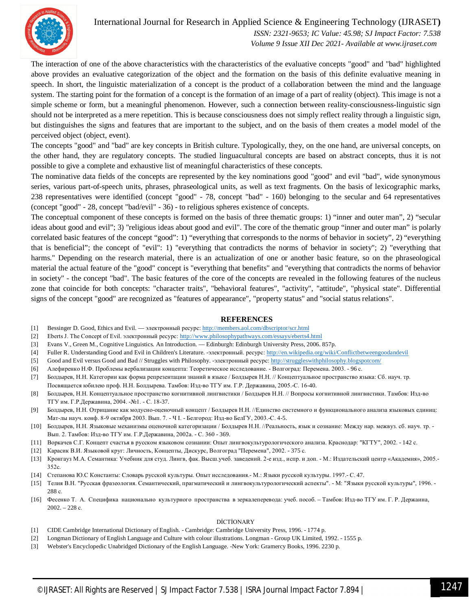

## International Journal for Research in Applied Science & Engineering Technology (IJRASET**)**

 *ISSN: 2321-9653; IC Value: 45.98; SJ Impact Factor: 7.538 Volume 9 Issue XII Dec 2021- Available at www.ijraset.com*

The interaction of one of the above characteristics with the characteristics of the evaluative concepts "good" and "bad" highlighted above provides an evaluative categorization of the object and the formation on the basis of this definite evaluative meaning in speech. In short, the linguistic materialization of a concept is the product of a collaboration between the mind and the language system. The starting point for the formation of a concept is the formation of an image of a part of reality (object). This image is not a simple scheme or form, but a meaningful phenomenon. However, such a connection between reality-consciousness-linguistic sign should not be interpreted as a mere repetition. This is because consciousness does not simply reflect reality through a linguistic sign, but distinguishes the signs and features that are important to the subject, and on the basis of them creates a model model of the perceived object (object, event).

The concepts "good" and "bad" are key concepts in British culture. Typologically, they, on the one hand, are universal concepts, on the other hand, they are regulatory concepts. The studied linguacultural concepts are based on abstract concepts, thus it is not possible to give a complete and exhaustive list of meaningful characteristics of these concepts.

The nominative data fields of the concepts are represented by the key nominations good "good" and evil "bad", wide synonymous series, various part-of-speech units, phrases, phraseological units, as well as text fragments. On the basis of lexicographic marks, 238 representatives were identified (concept "good" - 78, concept "bad" - 160) belonging to the secular and 64 representatives (concept "good" - 28, concept "bad/evil" - 36) - to religious spheres existence of concepts.

The conceptual component of these concepts is formed on the basis of three thematic groups: 1) "inner and outer man", 2) "secular ideas about good and evil"; 3) "religious ideas about good and evil". The core of the thematic group "inner and outer man" is polarly correlated basic features of the concept "good": 1) "everything that corresponds to the norms of behavior in society", 2) "everything that is beneficial"; the concept of "evil": 1) "everything that contradicts the norms of behavior in society"; 2) "everything that harms." Depending on the research material, there is an actualization of one or another basic feature, so on the phraseological material the actual feature of the "good" concept is "everything that benefits" and "everything that contradicts the norms of behavior in society" - the concept "bad". The basic features of the core of the concepts are revealed in the following features of the nucleus zone that coincide for both concepts: "character traits", "behavioral features", "activity", "attitude", "physical state". Differential signs of the concept "good" are recognized as "features of appearance", "property status" and "social status relations".

#### **REFERENCES**

- [1] Bessinger D. Good, Ethics and Evil. электронный ресурс: http://members.aol.com/dbscriptor/scr.html
- [2] Eberts J. The Concept of Evil. электронный ресурс: http://www.philosophypathways.com/essays/eberts4.html
- [3] Evans V., Green M., Cognitive Linguistics. An Introduction. Edinburgh: Edinburgh University Press, 2006. 857p.
- [4] Fuller R. Understanding Good and Evil in Children's Literature. электронный. ресурс: http://en.wikipedia.org/wiki/Conflictbetweengoodandevil
- [5] Good and Evil versus Good and Bad // Struggles with Philosophy. -электронный ресурс: http://struggleswithphilosophy.blogspotcom/
- [6] Алефиренко Н.Ф. Проблемы вербализации концепта: Теоретическое исследование. Волгоград: Перемена. 2003. 96 с.
- [7] Болдырев, Н.Н. Категории как форма репрезентации знаний в языке / Болдырев Н.Н. // Концептуальное пространство языка: Сб. науч. тр. Посвящается юбилею проф. Н.Н. Болдырева. Тамбов: Изд-во ТГУ им. Г.Р. Державина, 2005.-С. 16-40.
- [8] Болдырев, Н.Н. Концептуальное пространство когнитивной лингвистики / Болдырев Н.Н. // Вопросы когнитивной лингвистики. Тамбов: Изд-во ТГУ им. Г.Р.Державина, 2004. -№1. - С. 18-37.
- [9] Болдырев, Н.Н. Отрицание как модусно-оценочный концепт / Болдырев Н.Н. //Единство системного и функционального анализа языковых единиц: Мат-лы науч. конф. 8-9 октября 2003. Вып. 7. - Ч I. - Белгород: Изд-во БелГУ, 2003.-С. 4-5.
- [10] Болдырев, Н.Н. Языковые механизмы оценочной категоризации / Болдырев Н.Н. //Реальность, язык и сознание: Между нар. межвуз. сб. науч. тр. Вып. 2. Тамбов: Изд-во ТГУ им. Г.Р.Державина, 2002а. - С. 360 - 369.
- [11] Воркачев С.Г. Концепт счастья в русском языковом сознании: Опыт лингвокультурологического анализа. Краснодар: "КГТУ", 2002. 142 с.
- [12] Карасик В.И. Языковой круг: Личность, Концепты, Дискурс, Волгоград "Перемена", 2002. 375 с.
- [13] Кронгауз М.А. Семантика: Учебник для студ. Лингв, фак. Высш.учеб. заведений. 2-е изд., испр. и доп. М.: Издательский центр «Академия», 2005.- 352с.
- [14] Степанова Ю.С Константы: Словарь русской культуры. Опыт исследования.- М.: Языки русской культуры. 1997.- С. 47.
- [15] Телия В.Н. "Русская фразеология. Семантический, прагматический и лингвокультурологический аспекты". М: "Языки русской культуры", 1996. 288 с.
- [16] Фесенко Т. А. Специфика национально культурного пространства в зеркалеперевода: учеб. пособ. Тамбов: Изд-во ТГУ им. Г. Р. Держаина, 2002. – 228 с.

#### DİCTİONARY

- [1] CIDE Cambridge International Dictionary of English. Cambridge: Cambridge University Press, 1996. 1774 p.
- [2] Longman Dictionary of English Language and Culture with colour illustrations. Longman Group UK Limited, 1992. 1555 p.
- [3] Webster's Encyclopedic Unabridged Dictionary of the English Language. -New York: Gramercy Books, 1996. 2230 p.
	- ©IJRASET: All Rights are Reserved | SJ Impact Factor 7.538 | ISRA Journal Impact Factor 7.894 <sup>|</sup> 1247